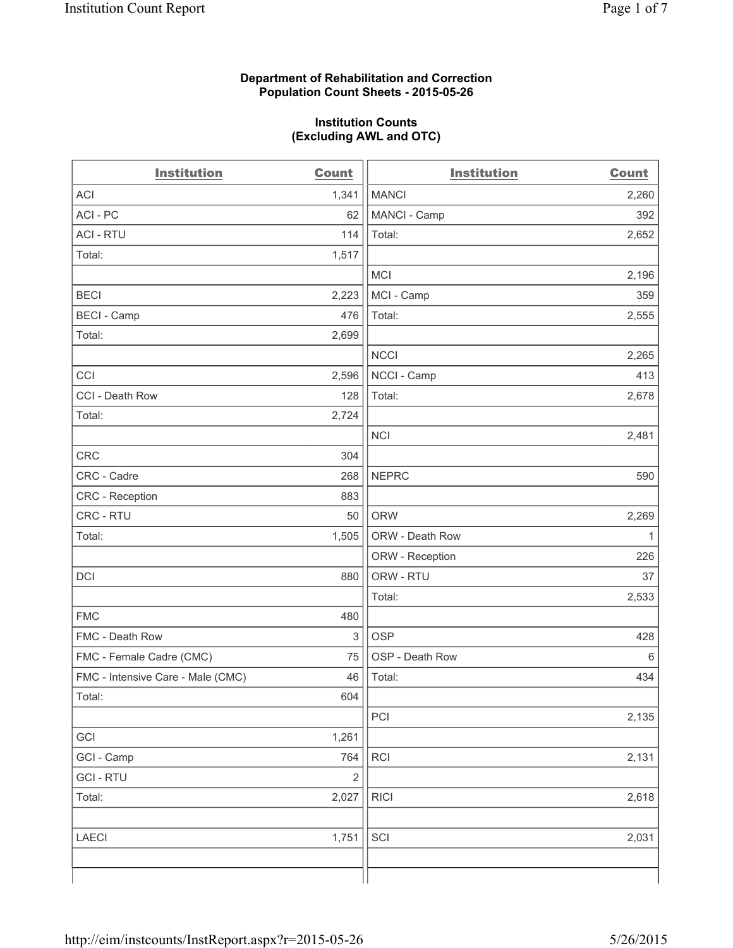## **Department of Rehabilitation and Correction Population Count Sheets - 2015-05-26**

## **Institution Counts (Excluding AWL and OTC)**

| <b>Institution</b>                | <b>Count</b>   | <b>Institution</b> | <b>Count</b> |
|-----------------------------------|----------------|--------------------|--------------|
| <b>ACI</b>                        | 1,341          | <b>MANCI</b>       | 2,260        |
| ACI-PC                            | 62             | MANCI - Camp       | 392          |
| <b>ACI - RTU</b>                  | 114            | Total:             | 2,652        |
| Total:                            | 1,517          |                    |              |
|                                   |                | <b>MCI</b>         | 2,196        |
| <b>BECI</b>                       | 2,223          | MCI - Camp         | 359          |
| <b>BECI - Camp</b>                | 476            | Total:             | 2,555        |
| Total:                            | 2,699          |                    |              |
|                                   |                | <b>NCCI</b>        | 2,265        |
| CCI                               | 2,596          | NCCI - Camp        | 413          |
| CCI - Death Row                   | 128            | Total:             | 2,678        |
| Total:                            | 2,724          |                    |              |
|                                   |                | <b>NCI</b>         | 2,481        |
| CRC                               | 304            |                    |              |
| CRC - Cadre                       | 268            | <b>NEPRC</b>       | 590          |
| <b>CRC</b> - Reception            | 883            |                    |              |
| CRC - RTU                         | 50             | <b>ORW</b>         | 2,269        |
| Total:                            | 1,505          | ORW - Death Row    | $\mathbf{1}$ |
|                                   |                | ORW - Reception    | 226          |
| DCI                               | 880            | ORW - RTU          | 37           |
|                                   |                | Total:             | 2,533        |
| <b>FMC</b>                        | 480            |                    |              |
| FMC - Death Row                   | 3              | <b>OSP</b>         | 428          |
| FMC - Female Cadre (CMC)          | 75             | OSP - Death Row    | $\,6$        |
| FMC - Intensive Care - Male (CMC) | 46             | Total:             | 434          |
| Total:                            | 604            |                    |              |
|                                   |                | PCI                | 2,135        |
| GCI                               | 1,261          |                    |              |
| GCI - Camp                        | 764            | <b>RCI</b>         | 2,131        |
| <b>GCI - RTU</b>                  | $\overline{2}$ |                    |              |
| Total:                            | 2,027          | <b>RICI</b>        | 2,618        |
|                                   |                |                    |              |
| LAECI                             | 1,751          | SCI                | 2,031        |
|                                   |                |                    |              |
|                                   |                |                    |              |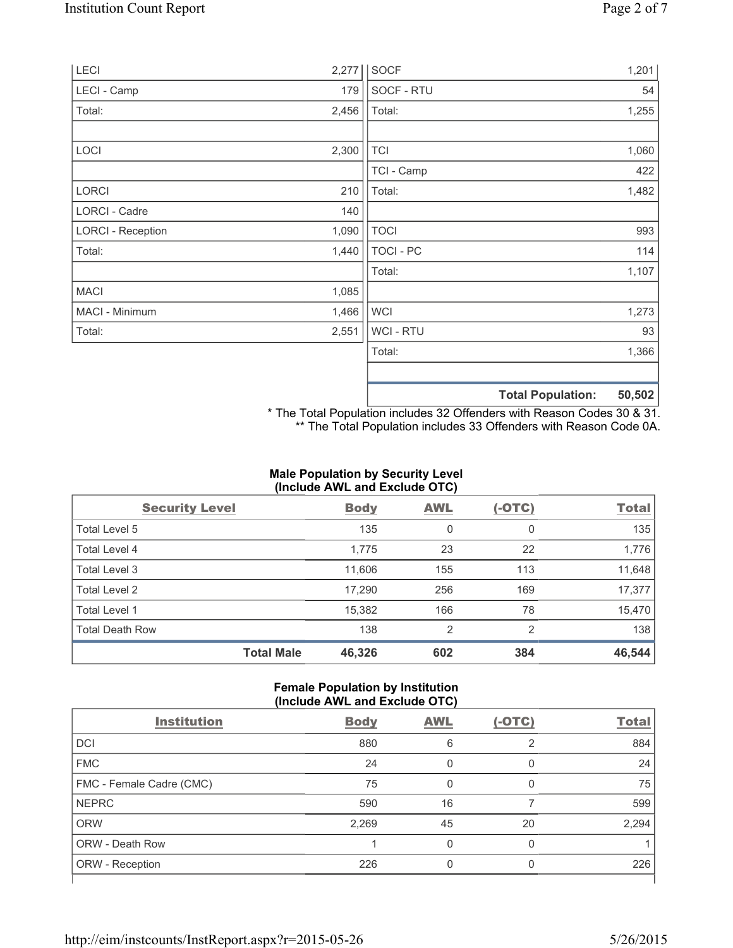| LECI                     | 2,277 | <b>SOCF</b>      |                          | 1,201  |
|--------------------------|-------|------------------|--------------------------|--------|
| LECI - Camp              | 179   | SOCF - RTU       |                          | 54     |
| Total:                   | 2,456 | Total:           |                          | 1,255  |
|                          |       |                  |                          |        |
| LOCI                     | 2,300 | <b>TCI</b>       |                          | 1,060  |
|                          |       | TCI - Camp       |                          | 422    |
| LORCI                    | 210   | Total:           |                          | 1,482  |
| LORCI - Cadre            | 140   |                  |                          |        |
| <b>LORCI - Reception</b> | 1,090 | <b>TOCI</b>      |                          | 993    |
| Total:                   | 1,440 | <b>TOCI - PC</b> |                          | 114    |
|                          |       | Total:           |                          | 1,107  |
| <b>MACI</b>              | 1,085 |                  |                          |        |
| MACI - Minimum           | 1,466 | <b>WCI</b>       |                          | 1,273  |
| Total:                   | 2,551 | <b>WCI-RTU</b>   |                          | 93     |
|                          |       | Total:           |                          | 1,366  |
|                          |       |                  |                          |        |
|                          |       |                  | <b>Total Population:</b> | 50,502 |

\* The Total Population includes 32 Offenders with Reason Codes 30 & 31. \*\* The Total Population includes 33 Offenders with Reason Code 0A.

# **Male Population by Security Level (Include AWL and Exclude OTC)**

| <b>Security Level</b>  |                   | <b>Body</b> | <b>AWL</b> | $(-OTC)$ | <b>Total</b> |
|------------------------|-------------------|-------------|------------|----------|--------------|
| Total Level 5          |                   | 135         | 0          | 0        | 135          |
| <b>Total Level 4</b>   |                   | 1,775       | 23         | 22       | 1,776        |
| Total Level 3          |                   | 11,606      | 155        | 113      | 11,648       |
| Total Level 2          |                   | 17,290      | 256        | 169      | 17,377       |
| Total Level 1          |                   | 15,382      | 166        | 78       | 15,470       |
| <b>Total Death Row</b> |                   | 138         | 2          | 2        | 138          |
|                        | <b>Total Male</b> | 46,326      | 602        | 384      | 46,544       |

### **Female Population by Institution (Include AWL and Exclude OTC)**

| <b>Institution</b>       | <b>Body</b> | <b>AWL</b> | $(-OTC)$ | <b>Total</b> |  |  |
|--------------------------|-------------|------------|----------|--------------|--|--|
| <b>DCI</b>               | 880         | 6          | 2        | 884          |  |  |
| <b>FMC</b>               | 24          | 0          | 0        | 24           |  |  |
| FMC - Female Cadre (CMC) | 75          | 0          | 0        | 75           |  |  |
| <b>NEPRC</b>             | 590         | 16         |          | 599          |  |  |
| <b>ORW</b>               | 2,269       | 45         | 20       | 2,294        |  |  |
| <b>ORW - Death Row</b>   |             | 0          | 0        |              |  |  |
| ORW - Reception          | 226         |            | 0        | 226          |  |  |
|                          |             |            |          |              |  |  |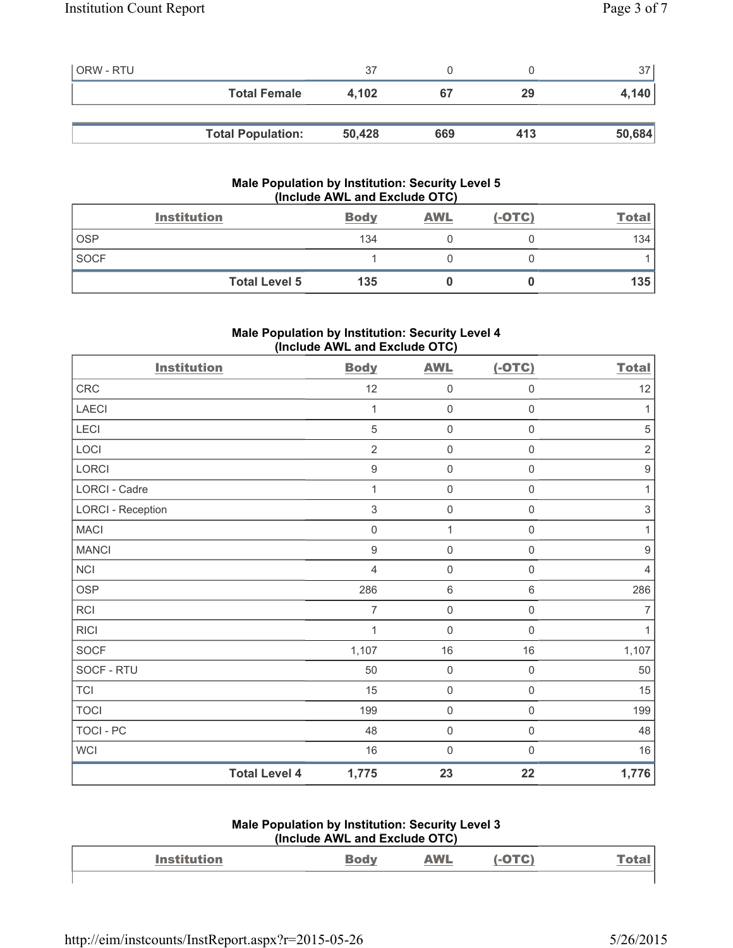| <b>ORW - RTU</b> |                          | 37     |     |     | 37     |
|------------------|--------------------------|--------|-----|-----|--------|
|                  | <b>Total Female</b>      | 4.102  | 67  | 29  | 4,140  |
|                  |                          |        |     |     |        |
|                  | <b>Total Population:</b> | 50,428 | 669 | 413 | 50,684 |

# **Male Population by Institution: Security Level 5 (Include AWL and Exclude OTC)**

|             | <b>Institution</b>   | <b>Body</b> | <b>AWL</b> | $(-OTC)$ | <u>Total</u> |
|-------------|----------------------|-------------|------------|----------|--------------|
| <b>OSP</b>  |                      | 134         |            |          | 134          |
| <b>SOCF</b> |                      |             |            |          |              |
|             | <b>Total Level 5</b> | 135         |            |          | 135          |

# **Male Population by Institution: Security Level 4 (Include AWL and Exclude OTC)**

| <b>Institution</b>       |                      | <b>Body</b>      | <b>AWL</b>          | $(-OTC)$            | <b>Total</b>     |
|--------------------------|----------------------|------------------|---------------------|---------------------|------------------|
| CRC                      |                      | 12               | $\mathbf 0$         | $\mathsf{O}\xspace$ | 12               |
| LAECI                    |                      | 1                | $\mathsf{O}\xspace$ | 0                   | 1                |
| <b>LECI</b>              |                      | $\sqrt{5}$       | $\mathbf 0$         | $\mathsf 0$         | $\sqrt{5}$       |
| LOCI                     |                      | $\overline{2}$   | $\mathsf{O}\xspace$ | $\mathsf{O}\xspace$ | $\overline{2}$   |
| LORCI                    |                      | $\boldsymbol{9}$ | $\mathsf{O}\xspace$ | $\mathsf{O}\xspace$ | $\boldsymbol{9}$ |
| LORCI - Cadre            |                      | 1                | $\mathbf 0$         | 0                   | 1                |
| <b>LORCI - Reception</b> |                      | $\sqrt{3}$       | $\mathbf 0$         | $\mathsf{O}\xspace$ | $\sqrt{3}$       |
| <b>MACI</b>              |                      | $\mathbf 0$      | $\mathbf{1}$        | $\mathsf{O}\xspace$ | 1                |
| <b>MANCI</b>             |                      | $\boldsymbol{9}$ | $\mathsf{O}\xspace$ | $\mathsf 0$         | $\boldsymbol{9}$ |
| <b>NCI</b>               |                      | 4                | $\mathsf{O}\xspace$ | 0                   | $\overline{4}$   |
| <b>OSP</b>               |                      | 286              | $\,6\,$             | 6                   | 286              |
| <b>RCI</b>               |                      | $\overline{7}$   | $\mathsf{O}\xspace$ | $\mathsf{O}\xspace$ | $\overline{7}$   |
| <b>RICI</b>              |                      | 1                | $\mathsf{O}\xspace$ | $\mathsf{O}\xspace$ | $\mathbf{1}$     |
| <b>SOCF</b>              |                      | 1,107            | 16                  | 16                  | 1,107            |
| SOCF - RTU               |                      | 50               | $\mathsf 0$         | $\mathsf{O}\xspace$ | 50               |
| <b>TCI</b>               |                      | 15               | $\mathsf{O}\xspace$ | $\mathsf{O}\xspace$ | 15               |
| <b>TOCI</b>              |                      | 199              | $\mathsf{O}\xspace$ | $\mathsf{O}\xspace$ | 199              |
| <b>TOCI - PC</b>         |                      | 48               | $\mathbf 0$         | $\mathsf{0}$        | 48               |
| <b>WCI</b>               |                      | 16               | $\mathbf 0$         | $\mathsf{O}\xspace$ | 16               |
|                          | <b>Total Level 4</b> | 1,775            | 23                  | 22                  | 1,776            |

#### **Male Population by Institution: Security Level 3 (Include AWL and Exclude OTC)**

| $\frac{1}{2}$      |     |            |  |      |  |  |
|--------------------|-----|------------|--|------|--|--|
| <b>Institution</b> | odv | <b>AWL</b> |  | Га≑а |  |  |
|                    |     |            |  |      |  |  |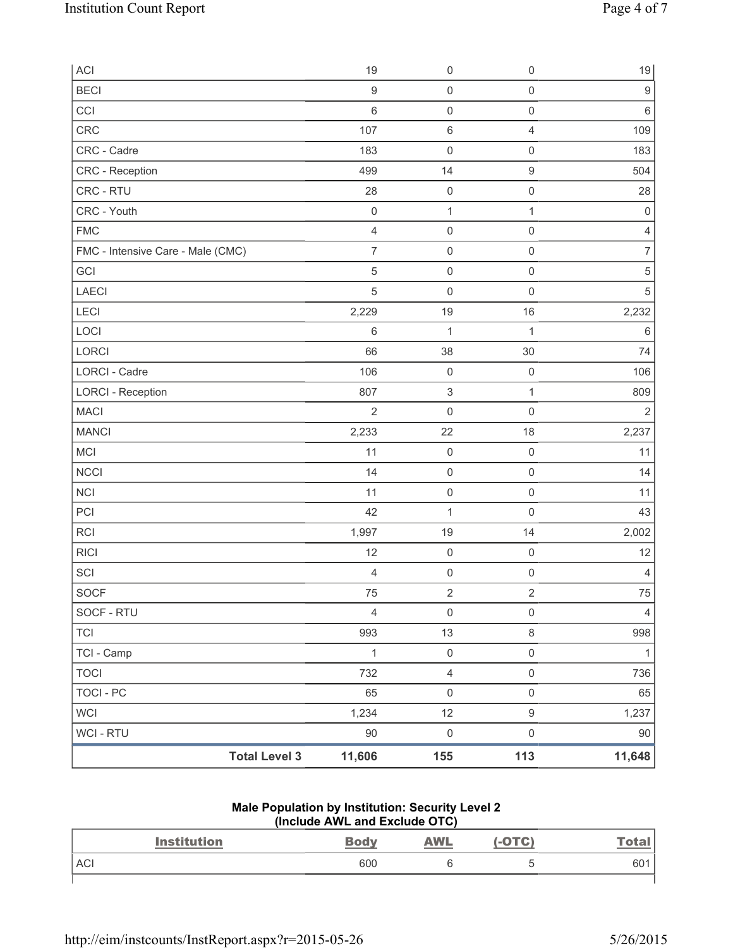| ACI                               | 19                  | $\mathsf{O}\xspace$ | $\mathsf{O}\xspace$ | $19$                |
|-----------------------------------|---------------------|---------------------|---------------------|---------------------|
| <b>BECI</b>                       | $\boldsymbol{9}$    | $\mathsf{O}\xspace$ | $\mathsf{O}\xspace$ | $\boldsymbol{9}$    |
| CCI                               | $\,6$               | $\mathsf{O}\xspace$ | $\mathsf 0$         | 6                   |
| <b>CRC</b>                        | 107                 | $\,6$               | $\overline{4}$      | 109                 |
| CRC - Cadre                       | 183                 | $\mathsf{O}\xspace$ | $\mathsf 0$         | 183                 |
| CRC - Reception                   | 499                 | 14                  | $\hbox{9}$          | 504                 |
| CRC - RTU                         | 28                  | $\mathsf{O}\xspace$ | $\mathsf 0$         | 28                  |
| CRC - Youth                       | $\mathsf{O}\xspace$ | $\mathbf{1}$        | 1                   | $\mathsf{O}\xspace$ |
| <b>FMC</b>                        | $\overline{4}$      | $\mathsf{O}\xspace$ | $\mathsf 0$         | $\overline{4}$      |
| FMC - Intensive Care - Male (CMC) | $\overline{7}$      | $\mathsf{O}\xspace$ | $\mathsf 0$         | $\overline{7}$      |
| GCI                               | $\sqrt{5}$          | $\mathsf{O}\xspace$ | $\mathsf{O}\xspace$ | $\,$ 5 $\,$         |
| LAECI                             | $\overline{5}$      | $\mathsf{O}\xspace$ | $\mathsf 0$         | 5                   |
| LECI                              | 2,229               | 19                  | 16                  | 2,232               |
| LOCI                              | 6                   | 1                   | $\mathbf{1}$        | $\,6$               |
| LORCI                             | 66                  | 38                  | 30                  | 74                  |
| <b>LORCI - Cadre</b>              | 106                 | $\mathsf{O}\xspace$ | $\mathsf 0$         | 106                 |
| <b>LORCI - Reception</b>          | 807                 | $\mathsf 3$         | $\mathbf{1}$        | 809                 |
| <b>MACI</b>                       | $\sqrt{2}$          | $\mathsf{O}\xspace$ | $\mathsf 0$         | $\overline{2}$      |
| <b>MANCI</b>                      | 2,233               | 22                  | 18                  | 2,237               |
| MCI                               | 11                  | $\mathsf{O}\xspace$ | $\mathbf 0$         | 11                  |
| <b>NCCI</b>                       | 14                  | $\mathsf{O}\xspace$ | $\mathsf{O}\xspace$ | 14                  |
| <b>NCI</b>                        | 11                  | $\mathsf{O}\xspace$ | $\mathsf{O}\xspace$ | 11                  |
| PCI                               | 42                  | $\mathbf 1$         | $\mathsf{O}\xspace$ | 43                  |
| <b>RCI</b>                        | 1,997               | 19                  | 14                  | 2,002               |
| <b>RICI</b>                       | 12                  | $\mathsf{O}\xspace$ | $\mathsf 0$         | 12                  |
| SCI                               | $\overline{4}$      | $\pmb{0}$           | $\mathsf 0$         | 4                   |
| SOCF                              | 75                  | $\overline{2}$      | $\overline{2}$      | 75                  |
| SOCF - RTU                        | $\overline{4}$      | $\mathsf{O}\xspace$ | $\mathsf{O}\xspace$ | $\overline{4}$      |
| <b>TCI</b>                        | 993                 | 13                  | 8                   | 998                 |
| TCI - Camp                        | $\mathbf{1}$        | $\mathsf{O}\xspace$ | $\mathsf{O}\xspace$ | 1                   |
| <b>TOCI</b>                       | 732                 | $\overline{4}$      | $\mathsf{O}\xspace$ | 736                 |
| <b>TOCI - PC</b>                  | 65                  | $\mathsf{O}\xspace$ | $\mathsf{O}\xspace$ | 65                  |
| <b>WCI</b>                        | 1,234               | 12                  | $\boldsymbol{9}$    | 1,237               |
| WCI - RTU                         | $90\,$              | $\mathsf{O}\xspace$ | $\mathsf{O}\xspace$ | $90\,$              |
| <b>Total Level 3</b>              | 11,606              | 155                 | 113                 | 11,648              |

## **Male Population by Institution: Security Level 2 (Include AWL and Exclude OTC)**

| <b>Institution</b> | <b>Body</b> | <b>AWL</b> | $(-OTC)$ | <u>Total</u> |
|--------------------|-------------|------------|----------|--------------|
| <b>ACI</b>         | 600         |            |          | 601          |
|                    |             |            |          |              |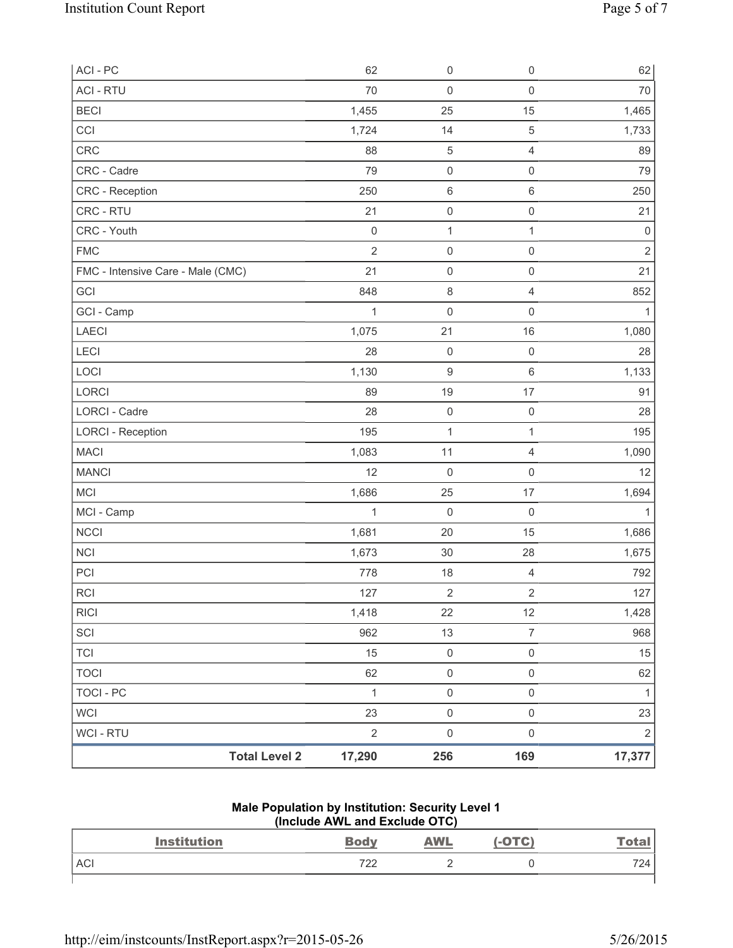| ACI - PC                          |                      | 62             | $\mathsf{O}\xspace$ | $\mathsf{O}\xspace$     | 62             |
|-----------------------------------|----------------------|----------------|---------------------|-------------------------|----------------|
| <b>ACI - RTU</b>                  |                      | 70             | $\mathsf{O}\xspace$ | $\mathsf{O}\xspace$     | $70\,$         |
| <b>BECI</b>                       |                      | 1,455          | 25                  | 15                      | 1,465          |
| CCI                               |                      | 1,724          | 14                  | $\mathbf 5$             | 1,733          |
| <b>CRC</b>                        |                      | 88             | $\sqrt{5}$          | $\overline{4}$          | 89             |
| CRC - Cadre                       |                      | 79             | $\mathsf{O}\xspace$ | $\mathsf{O}\xspace$     | 79             |
| <b>CRC</b> - Reception            |                      | 250            | $\,6\,$             | $\,6\,$                 | 250            |
| CRC - RTU                         |                      | 21             | $\mathsf{O}\xspace$ | $\mathsf 0$             | 21             |
| CRC - Youth                       |                      | $\mathbf 0$    | $\mathbf{1}$        | 1                       | $\mathsf 0$    |
| <b>FMC</b>                        |                      | $\overline{2}$ | $\mathsf{O}\xspace$ | $\mathbf 0$             | $\overline{2}$ |
| FMC - Intensive Care - Male (CMC) |                      | 21             | $\mathsf{O}\xspace$ | $\mathsf{O}\xspace$     | 21             |
| GCI                               |                      | 848            | $\,8\,$             | $\overline{4}$          | 852            |
| GCI - Camp                        |                      | 1              | $\mathsf 0$         | $\mathbf 0$             | $\mathbf 1$    |
| <b>LAECI</b>                      |                      | 1,075          | 21                  | 16                      | 1,080          |
| LECI                              |                      | 28             | $\mathsf 0$         | $\mathbf 0$             | 28             |
| LOCI                              |                      | 1,130          | $\boldsymbol{9}$    | $\,6\,$                 | 1,133          |
| LORCI                             |                      | 89             | 19                  | 17                      | 91             |
| LORCI - Cadre                     |                      | 28             | $\mathsf 0$         | $\mathsf 0$             | 28             |
| <b>LORCI - Reception</b>          |                      | 195            | $\mathbf 1$         | $\mathbf{1}$            | 195            |
| <b>MACI</b>                       |                      | 1,083          | 11                  | 4                       | 1,090          |
| <b>MANCI</b>                      |                      | 12             | $\mathsf 0$         | $\mathsf{O}\xspace$     | 12             |
| <b>MCI</b>                        |                      | 1,686          | 25                  | 17                      | 1,694          |
| MCI - Camp                        |                      | 1              | $\mathbf 0$         | $\mathbf 0$             | $\mathbf{1}$   |
| <b>NCCI</b>                       |                      | 1,681          | 20                  | 15                      | 1,686          |
| <b>NCI</b>                        |                      | 1,673          | 30                  | 28                      | 1,675          |
| PCI                               |                      | 778            | 18                  | $\overline{4}$          | 792            |
| <b>RCI</b>                        |                      | 127            | $\overline{2}$      | $\overline{\mathbf{c}}$ | 127            |
| <b>RICI</b>                       |                      | 1,418          | 22                  | 12                      | 1,428          |
| SCI                               |                      | 962            | 13                  | $\overline{7}$          | 968            |
| <b>TCI</b>                        |                      | 15             | $\mathsf{O}\xspace$ | $\mathsf{O}\xspace$     | 15             |
| <b>TOCI</b>                       |                      | 62             | $\mathsf{O}\xspace$ | $\mathsf{O}\xspace$     | 62             |
| <b>TOCI - PC</b>                  |                      | $\mathbf{1}$   | $\mathsf{O}\xspace$ | $\mathsf{O}\xspace$     | 1              |
| <b>WCI</b>                        |                      | 23             | $\mathsf 0$         | $\mathsf{O}\xspace$     | 23             |
| WCI - RTU                         |                      | $\sqrt{2}$     | $\mathbf 0$         | $\mathsf{O}\xspace$     | $\sqrt{2}$     |
|                                   | <b>Total Level 2</b> | 17,290         | 256                 | 169                     | 17,377         |

#### **Male Population by Institution: Security Level 1 (Include AWL and Exclude OTC)**

| <b>Institution</b> | <b>Body</b> | <b>AWL</b> | OTC) | <u>Tota.</u> |
|--------------------|-------------|------------|------|--------------|
| <b>ACI</b>         | 722         |            |      | 724          |
|                    |             |            |      |              |